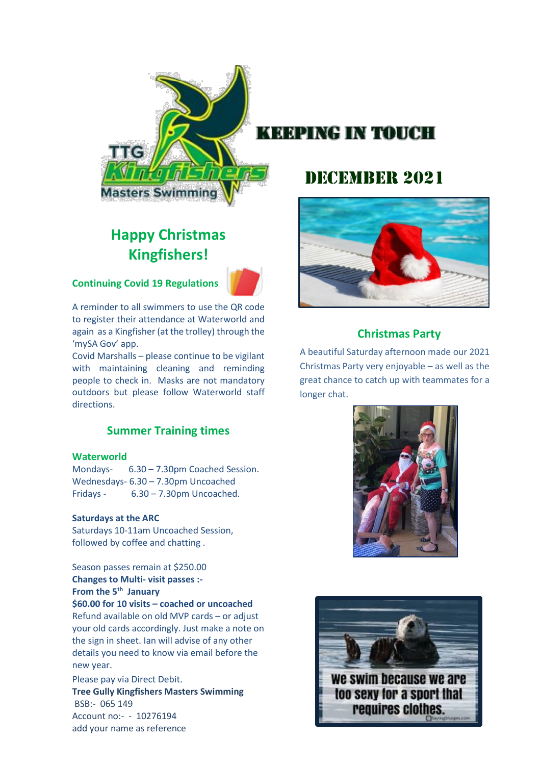

# **Happy Christmas Kingfishers!**

**Continuing Covid 19 Regulations**



A reminder to all swimmers to use the QR code to register their attendance at Waterworld and again as a Kingfisher (at the trolley) through the 'mySA Gov' app.

Covid Marshalls – please continue to be vigilant with maintaining cleaning and reminding people to check in. Masks are not mandatory outdoors but please follow Waterworld staff directions.

## **Summer Training times**

#### **Waterworld**

Mondays- 6.30 – 7.30pm Coached Session. Wednesdays- 6.30 – 7.30pm Uncoached Fridays - 6.30 – 7.30pm Uncoached.

#### **Saturdays at the ARC**

Saturdays 10-11am Uncoached Session, followed by coffee and chatting .

Season passes remain at \$250.00 **Changes to Multi- visit passes :- From the 5th January \$60.00 for 10 visits – coached or uncoached** Refund available on old MVP cards – or adjust your old cards accordingly. Just make a note on the sign in sheet. Ian will advise of any other details you need to know via email before the new year.

Please pay via Direct Debit. **Tree Gully Kingfishers Masters Swimming** BSB:- 065 149 Account no:- - 10276194 add your name as reference

# DECEMBER 2021



## **Christmas Party**

A beautiful Saturday afternoon made our 2021 Christmas Party very enjoyable – as well as the great chance to catch up with teammates for a longer chat.



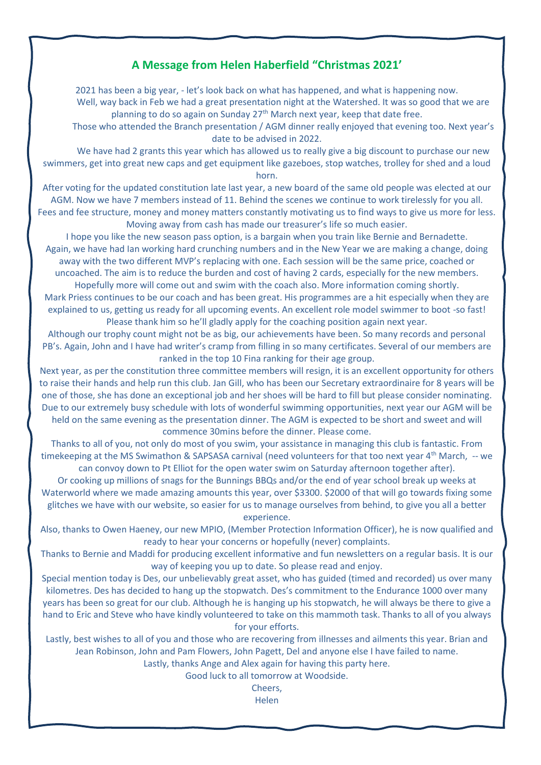### **A Message from Helen Haberfield "Christmas 2021'**

2021 has been a big year, - let's look back on what has happened, and what is happening now. Well, way back in Feb we had a great presentation night at the Watershed. It was so good that we are planning to do so again on Sunday  $27<sup>th</sup>$  March next year, keep that date free.

Those who attended the Branch presentation / AGM dinner really enjoyed that evening too. Next year's date to be advised in 2022.

We have had 2 grants this year which has allowed us to really give a big discount to purchase our new swimmers, get into great new caps and get equipment like gazeboes, stop watches, trolley for shed and a loud horn.

After voting for the updated constitution late last year, a new board of the same old people was elected at our AGM. Now we have 7 members instead of 11. Behind the scenes we continue to work tirelessly for you all. Fees and fee structure, money and money matters constantly motivating us to find ways to give us more for less. Moving away from cash has made our treasurer's life so much easier.

I hope you like the new season pass option, is a bargain when you train like Bernie and Bernadette. Again, we have had Ian working hard crunching numbers and in the New Year we are making a change, doing away with the two different MVP's replacing with one. Each session will be the same price, coached or uncoached. The aim is to reduce the burden and cost of having 2 cards, especially for the new members.

Hopefully more will come out and swim with the coach also. More information coming shortly. Mark Priess continues to be our coach and has been great. His programmes are a hit especially when they are explained to us, getting us ready for all upcoming events. An excellent role model swimmer to boot -so fast! Please thank him so he'll gladly apply for the coaching position again next year.

Although our trophy count might not be as big, our achievements have been. So many records and personal PB's. Again, John and I have had writer's cramp from filling in so many certificates. Several of our members are ranked in the top 10 Fina ranking for their age group.

Next year, as per the constitution three committee members will resign, it is an excellent opportunity for others to raise their hands and help run this club. Jan Gill, who has been our Secretary extraordinaire for 8 years will be one of those, she has done an exceptional job and her shoes will be hard to fill but please consider nominating. Due to our extremely busy schedule with lots of wonderful swimming opportunities, next year our AGM will be held on the same evening as the presentation dinner. The AGM is expected to be short and sweet and will commence 30mins before the dinner. Please come.

Thanks to all of you, not only do most of you swim, your assistance in managing this club is fantastic. From timekeeping at the MS Swimathon & SAPSASA carnival (need volunteers for that too next year 4<sup>th</sup> March, -- we can convoy down to Pt Elliot for the open water swim on Saturday afternoon together after).

Or cooking up millions of snags for the Bunnings BBQs and/or the end of year school break up weeks at Waterworld where we made amazing amounts this year, over \$3300. \$2000 of that will go towards fixing some glitches we have with our website, so easier for us to manage ourselves from behind, to give you all a better experience.

Also, thanks to Owen Haeney, our new MPIO, (Member Protection Information Officer), he is now qualified and ready to hear your concerns or hopefully (never) complaints.

Thanks to Bernie and Maddi for producing excellent informative and fun newsletters on a regular basis. It is our way of keeping you up to date. So please read and enjoy.

Special mention today is Des, our unbelievably great asset, who has guided (timed and recorded) us over many kilometres. Des has decided to hang up the stopwatch. Des's commitment to the Endurance 1000 over many years has been so great for our club. Although he is hanging up his stopwatch, he will always be there to give a hand to Eric and Steve who have kindly volunteered to take on this mammoth task. Thanks to all of you always for your efforts.

Lastly, best wishes to all of you and those who are recovering from illnesses and ailments this year. Brian and Jean Robinson, John and Pam Flowers, John Pagett, Del and anyone else I have failed to name.

Lastly, thanks Ange and Alex again for having this party here.

Good luck to all tomorrow at Woodside.

Cheers,

Helen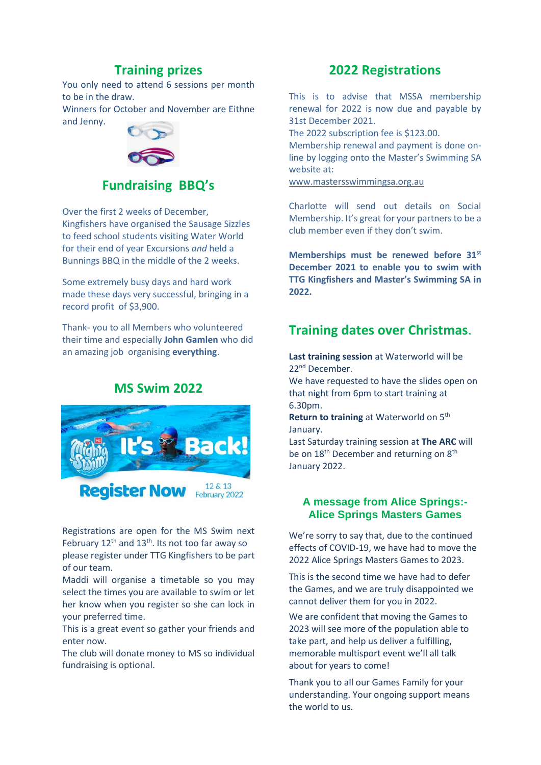## **Training prizes**

You only need to attend 6 sessions per month to be in the draw.

Winners for October and November are Eithne and Jenny.



## **Fundraising BBQ's**

Over the first 2 weeks of December, Kingfishers have organised the Sausage Sizzles to feed school students visiting Water World for their end of year Excursions *and* held a Bunnings BBQ in the middle of the 2 weeks.

Some extremely busy days and hard work made these days very successful, bringing in a record profit of \$3,900.

Thank- you to all Members who volunteered their time and especially **John Gamlen** who did an amazing job organising **everything**.

## **MS Swim 2022**



Registrations are open for the MS Swim next February  $12<sup>th</sup>$  and  $13<sup>th</sup>$ . Its not too far away so please register under TTG Kingfishers to be part of our team.

Maddi will organise a timetable so you may select the times you are available to swim or let her know when you register so she can lock in your preferred time.

This is a great event so gather your friends and enter now.

The club will donate money to MS so individual fundraising is optional.

## **2022 Registrations**

This is to advise that MSSA membership renewal for 2022 is now due and payable by 31st December 2021.

The 2022 subscription fee is \$123.00.

Membership renewal and payment is done online by logging onto the Master's Swimming SA website at:

[www.mastersswimmingsa.org.au](http://www.mastersswimmingsa.org.au/)

Charlotte will send out details on Social Membership. It's great for your partners to be a club member even if they don't swim.

**Memberships must be renewed before 31st December 2021 to enable you to swim with TTG Kingfishers and Master's Swimming SA in 2022.**

## **Training dates over Christmas**.

**Last training session** at Waterworld will be 22nd December.

We have requested to have the slides open on that night from 6pm to start training at 6.30pm.

**Return to training** at Waterworld on 5<sup>th</sup> January.

Last Saturday training session at **The ARC** will be on 18<sup>th</sup> December and returning on 8<sup>th</sup> January 2022.

#### **A message from Alice Springs:- Alice Springs Masters Games**

We're sorry to say that, due to the continued effects of COVID-19, we have had to move the 2022 Alice Springs Masters Games to 2023.

This is the second time we have had to defer the Games, and we are truly disappointed we cannot deliver them for you in 2022.

We are confident that moving the Games to 2023 will see more of the population able to take part, and help us deliver a fulfilling, memorable multisport event we'll all talk about for years to come!

Thank you to all our Games Family for your understanding. Your ongoing support means the world to us.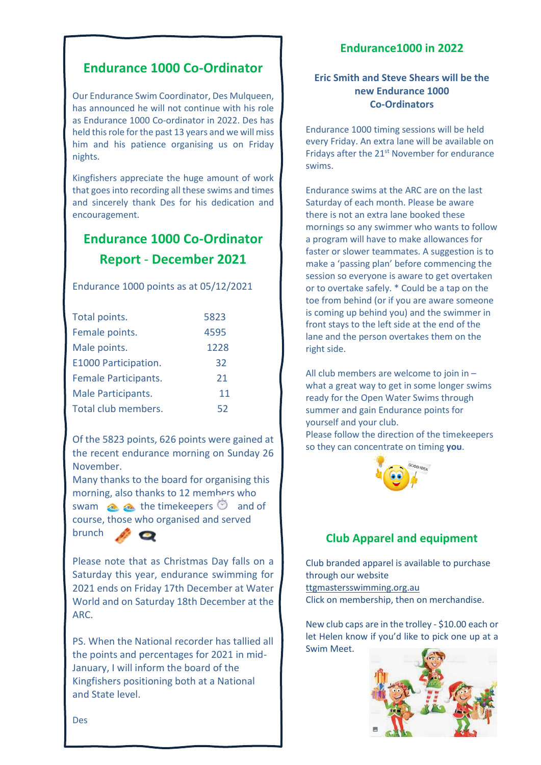## **Endurance 1000 Co-Ordinator**

Our Endurance Swim Coordinator, Des Mulqueen, has announced he will not continue with his role as Endurance 1000 Co-ordinator in 2022. Des has held this role for the past 13 years and we will miss him and his patience organising us on Friday nights.

Kingfishers appreciate the huge amount of work that goes into recording all these swims and times and sincerely thank Des for his dedication and encouragement.

# **Endurance 1000 Co-Ordinator Report** - **December 2021**

Endurance 1000 points as at 05/12/2021

| Total points.               | 5823 |
|-----------------------------|------|
| Female points.              | 4595 |
| Male points.                | 1228 |
| E1000 Participation.        | 32   |
| <b>Female Participants.</b> | 21   |
| Male Participants.          | 11   |
| Total club members.         | 52   |

Of the 5823 points, 626 points were gained at the recent endurance morning on Sunday 26 November.

Many thanks to the board for organising this morning, also thanks to 12 members who swam  $\triangle$   $\triangle$  the timekeepers  $\heartsuit$  and of course, those who organised and served brunch

Please note that as Christmas Day falls on a Saturday this year, endurance swimming for 2021 ends on Friday 17th December at Water World and on Saturday 18th December at the ARC.

PS. When the National recorder has tallied all the points and percentages for 2021 in mid-January, I will inform the board of the Kingfishers positioning both at a National and State level.

### **Endurance1000 in 2022**

### **Eric Smith and Steve Shears will be the new Endurance 1000 Co-Ordinators**

Endurance 1000 timing sessions will be held every Friday. An extra lane will be available on Fridays after the 21<sup>st</sup> November for endurance swims.

Endurance swims at the ARC are on the last Saturday of each month. Please be aware there is not an extra lane booked these mornings so any swimmer who wants to follow a program will have to make allowances for faster or slower teammates. A suggestion is to make a 'passing plan' before commencing the session so everyone is aware to get overtaken or to overtake safely. \* Could be a tap on the toe from behind (or if you are aware someone is coming up behind you) and the swimmer in front stays to the left side at the end of the lane and the person overtakes them on the right side.

All club members are welcome to join in – what a great way to get in some longer swims ready for the Open Water Swims through summer and gain Endurance points for yourself and your club. Please follow the direction of the timekeepers

so they can concentrate on timing **you**.

## **Club Apparel and equipment**

Club branded apparel is available to purchase through our website ttgmastersswimming.org.au Click on membership, then on merchandise.

New club caps are in the trolley - \$10.00 each or let Helen know if you'd like to pick one up at a Swim Meet.



Des